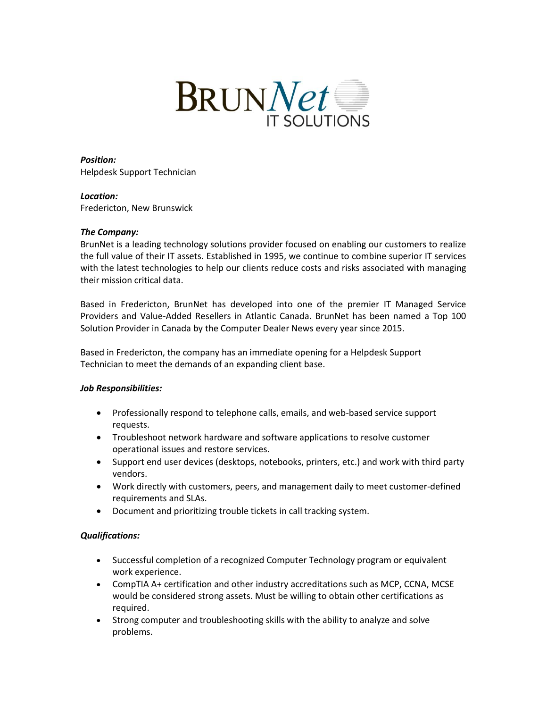

*Position:* Helpdesk Support Technician

*Location:* Fredericton, New Brunswick

## *The Company:*

BrunNet is a leading technology solutions provider focused on enabling our customers to realize the full value of their IT assets. Established in 1995, we continue to combine superior IT services with the latest technologies to help our clients reduce costs and risks associated with managing their mission critical data.

Based in Fredericton, BrunNet has developed into one of the premier IT Managed Service Providers and Value-Added Resellers in Atlantic Canada. BrunNet has been named a Top 100 Solution Provider in Canada by the Computer Dealer News every year since 2015.

Based in Fredericton, the company has an immediate opening for a Helpdesk Support Technician to meet the demands of an expanding client base.

## *Job Responsibilities:*

- Professionally respond to telephone calls, emails, and web-based service support requests.
- Troubleshoot network hardware and software applications to resolve customer operational issues and restore services.
- Support end user devices (desktops, notebooks, printers, etc.) and work with third party vendors.
- Work directly with customers, peers, and management daily to meet customer-defined requirements and SLAs.
- Document and prioritizing trouble tickets in call tracking system.

## *Qualifications:*

- Successful completion of a recognized Computer Technology program or equivalent work experience.
- CompTIA A+ certification and other industry accreditations such as MCP, CCNA, MCSE would be considered strong assets. Must be willing to obtain other certifications as required.
- Strong computer and troubleshooting skills with the ability to analyze and solve problems.